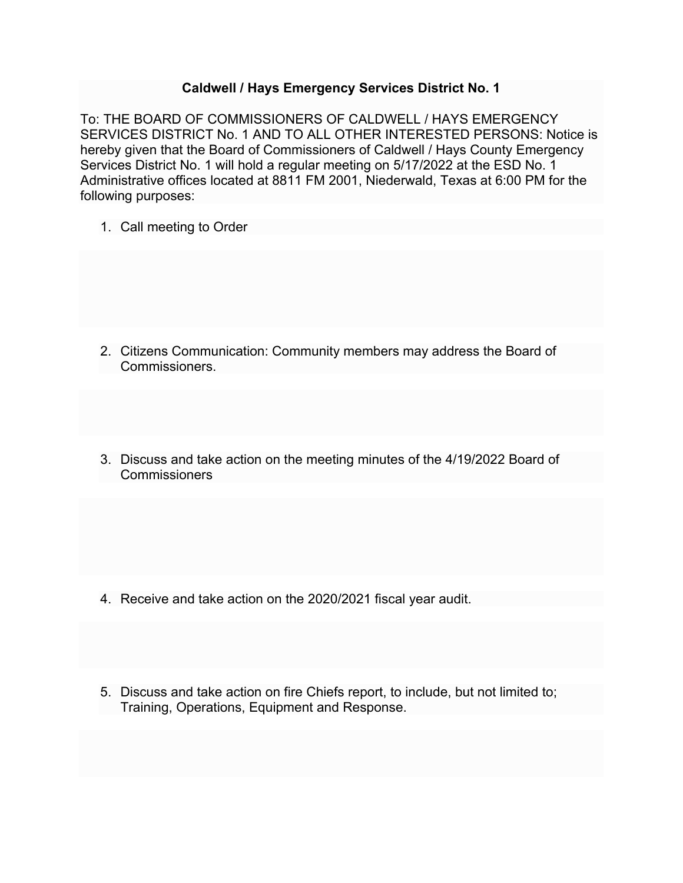## **Caldwell / Hays Emergency Services District No. 1**

To: THE BOARD OF COMMISSIONERS OF CALDWELL / HAYS EMERGENCY SERVICES DISTRICT No. 1 AND TO ALL OTHER INTERESTED PERSONS: Notice is hereby given that the Board of Commissioners of Caldwell / Hays County Emergency Services District No. 1 will hold a regular meeting on 5/17/2022 at the ESD No. 1 Administrative offices located at 8811 FM 2001, Niederwald, Texas at 6:00 PM for the following purposes:

1. Call meeting to Order

- 2. Citizens Communication: Community members may address the Board of Commissioners.
- 3. Discuss and take action on the meeting minutes of the 4/19/2022 Board of Commissioners

- 4. Receive and take action on the 2020/2021 fiscal year audit.
- 5. Discuss and take action on fire Chiefs report, to include, but not limited to; Training, Operations, Equipment and Response.